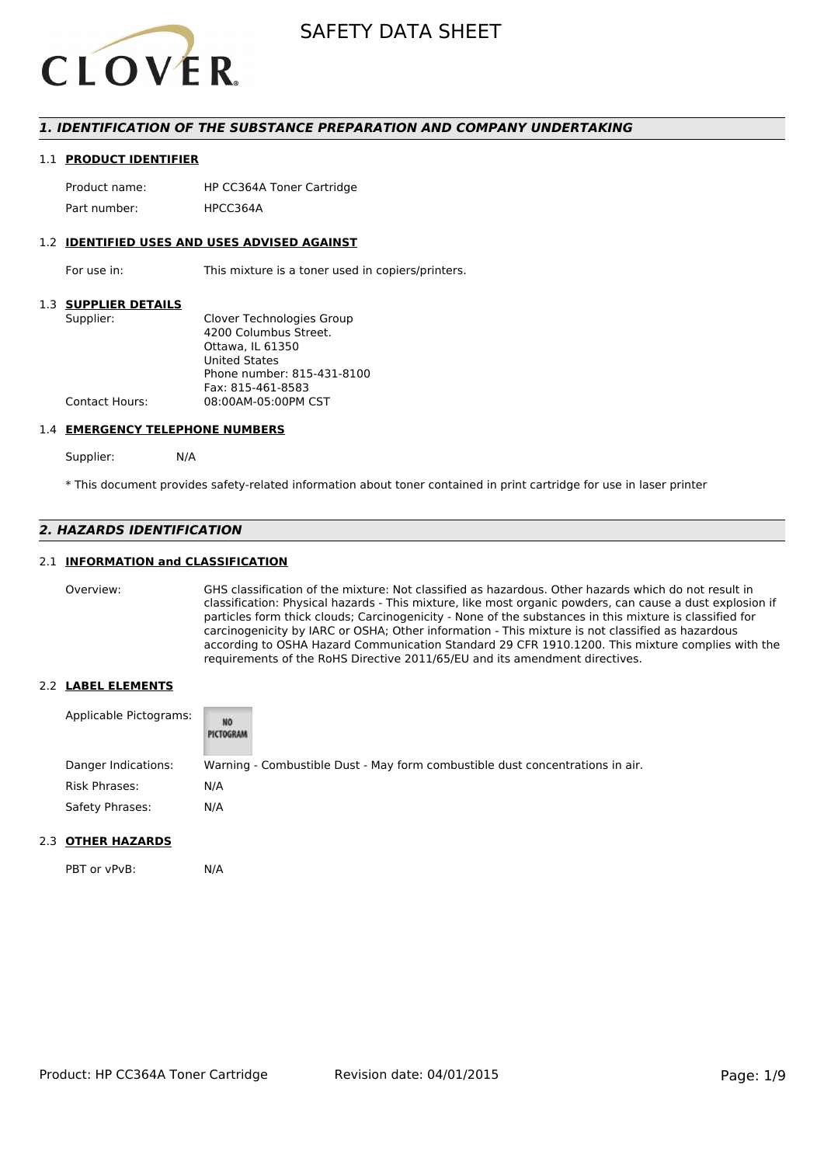

### *1. IDENTIFICATION OF THE SUBSTANCE PREPARATION AND COMPANY UNDERTAKING*

#### 1.1 **PRODUCT IDENTIFIER**

Product name: HP CC364A Toner Cartridge Part number: HPCC3644

#### 1.2 **IDENTIFIED USES AND USES ADVISED AGAINST**

For use in: This mixture is a toner used in copiers/printers.

#### 1.3 **SUPPLIER DETAILS**

| Supplier:             | Clover Technologies Group  |
|-----------------------|----------------------------|
|                       | 4200 Columbus Street.      |
|                       | Ottawa. IL 61350           |
|                       | <b>United States</b>       |
|                       | Phone number: 815-431-8100 |
|                       | Fax: 815-461-8583          |
| <b>Contact Hours:</b> | 08:00AM-05:00PM CST        |
|                       |                            |

#### 1.4 **EMERGENCY TELEPHONE NUMBERS**

Supplier: N/A

\* This document provides safety-related information about toner contained in print cartridge for use in laser printer

## *2. HAZARDS IDENTIFICATION*

#### 2.1 **INFORMATION and CLASSIFICATION**

Overview: GHS classification of the mixture: Not classified as hazardous. Other hazards which do not result in classification: Physical hazards - This mixture, like most organic powders, can cause a dust explosion if particles form thick clouds; Carcinogenicity - None of the substances in this mixture is classified for carcinogenicity by IARC or OSHA; Other information - This mixture is not classified as hazardous according to OSHA Hazard Communication Standard 29 CFR 1910.1200. This mixture complies with the requirements of the RoHS Directive 2011/65/EU and its amendment directives.

#### 2.2 **LABEL ELEMENTS**

| Applicable Pictograms: | NO<br>PICTOGRAM |                                                                               |
|------------------------|-----------------|-------------------------------------------------------------------------------|
| Danger Indications:    |                 | Warning - Combustible Dust - May form combustible dust concentrations in air. |
| Risk Phrases:          | N/A             |                                                                               |
| Safety Phrases:        | N/A             |                                                                               |

#### 2.3 **OTHER HAZARDS**

PBT or vPvB: N/A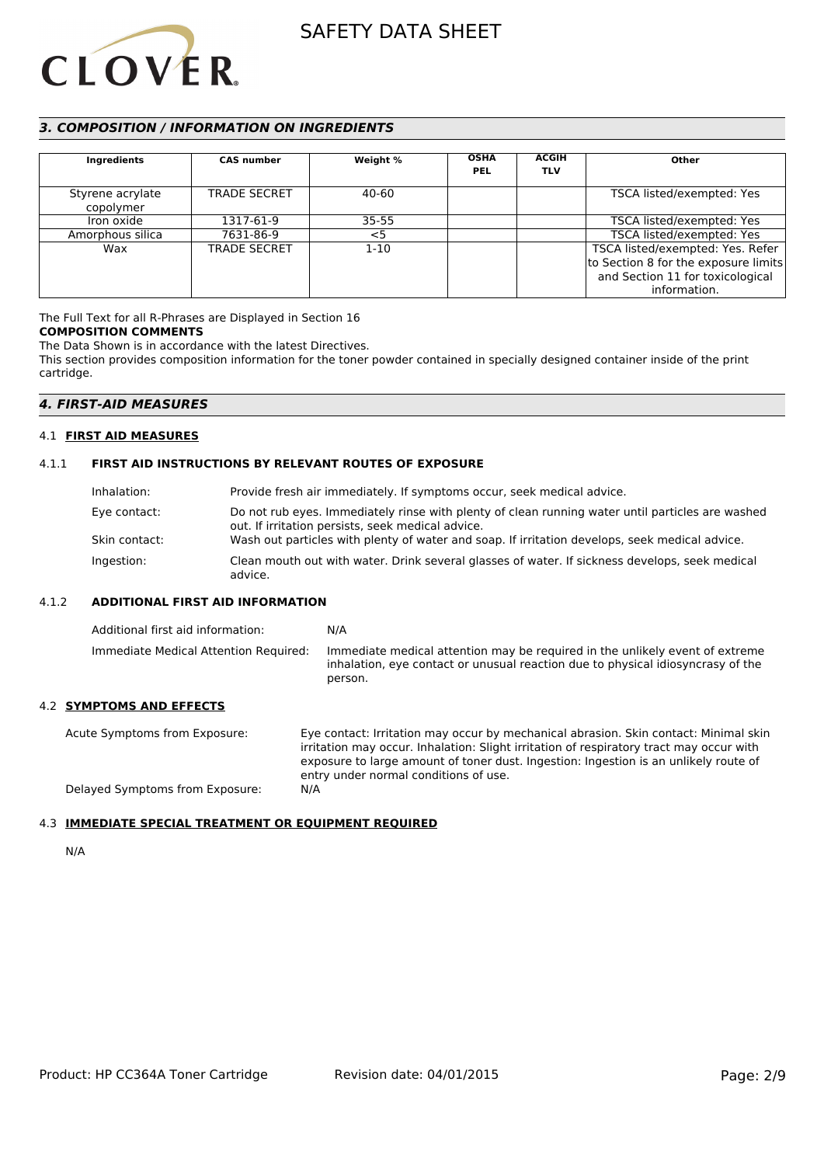

## *3. COMPOSITION / INFORMATION ON INGREDIENTS*

| Ingredients                   | <b>CAS number</b>   | Weight % | <b>OSHA</b><br><b>PEL</b> | <b>ACGIH</b><br><b>TLV</b> | Other                                |
|-------------------------------|---------------------|----------|---------------------------|----------------------------|--------------------------------------|
| Styrene acrylate<br>copolymer | <b>TRADE SECRET</b> | 40-60    |                           |                            | TSCA listed/exempted: Yes            |
| Iron oxide                    | 1317-61-9           | 35-55    |                           |                            | TSCA listed/exempted: Yes            |
| Amorphous silica              | 7631-86-9           | $<$ 5    |                           |                            | TSCA listed/exempted: Yes            |
| Wax                           | <b>TRADE SECRET</b> | $1 - 10$ |                           |                            | TSCA listed/exempted: Yes. Refer     |
|                               |                     |          |                           |                            | to Section 8 for the exposure limits |
|                               |                     |          |                           |                            | and Section 11 for toxicological     |
|                               |                     |          |                           |                            | information.                         |

## The Full Text for all R-Phrases are Displayed in Section 16

## **COMPOSITION COMMENTS**

The Data Shown is in accordance with the latest Directives.

This section provides composition information for the toner powder contained in specially designed container inside of the print cartridge.

## *4. FIRST-AID MEASURES*

## 4.1 **FIRST AID MEASURES**

## 4.1.1 **FIRST AID INSTRUCTIONS BY RELEVANT ROUTES OF EXPOSURE**

| Inhalation:   | Provide fresh air immediately. If symptoms occur, seek medical advice.                                                                                |
|---------------|-------------------------------------------------------------------------------------------------------------------------------------------------------|
| Eye contact:  | Do not rub eyes. Immediately rinse with plenty of clean running water until particles are washed<br>out. If irritation persists, seek medical advice. |
| Skin contact: | Wash out particles with plenty of water and soap. If irritation develops, seek medical advice.                                                        |
| Ingestion:    | Clean mouth out with water. Drink several glasses of water. If sickness develops, seek medical<br>advice.                                             |

#### 4.1.2 **ADDITIONAL FIRST AID INFORMATION**

| Additional first aid information:     | N/A                                                                                                                                                                        |
|---------------------------------------|----------------------------------------------------------------------------------------------------------------------------------------------------------------------------|
| Immediate Medical Attention Required: | Immediate medical attention may be required in the unlikely event of extreme<br>inhalation, eye contact or unusual reaction due to physical idiosyncrasy of the<br>person. |

#### 4.2 **SYMPTOMS AND EFFECTS**

Delayed Symptoms from Exposure:

Acute Symptoms from Exposure: Eye contact: Irritation may occur by mechanical abrasion. Skin contact: Minimal skin irritation may occur. Inhalation: Slight irritation of respiratory tract may occur with exposure to large amount of toner dust. Ingestion: Ingestion is an unlikely route of entry under normal conditions of use.<br>N/A

## 4.3 **IMMEDIATE SPECIAL TREATMENT OR EQUIPMENT REQUIRED**

N/A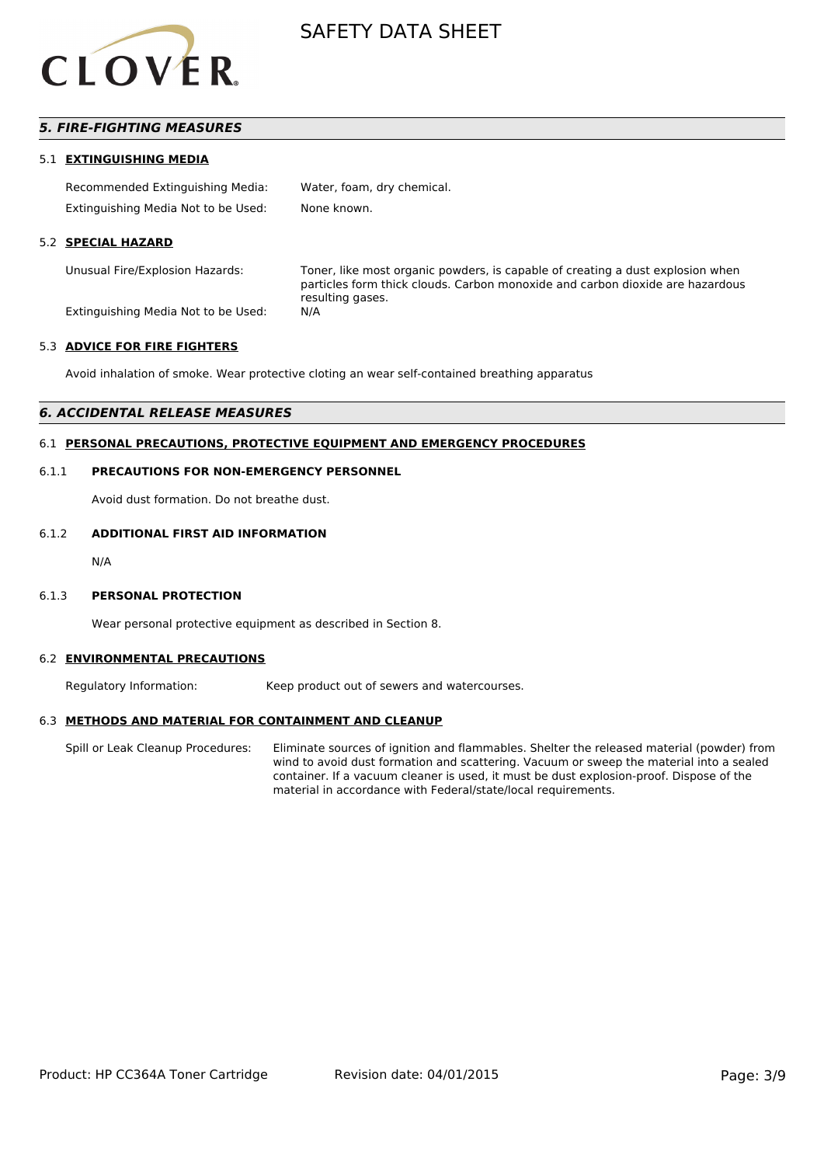

## *5. FIRE-FIGHTING MEASURES*

#### 5.1 **EXTINGUISHING MEDIA**

| Recommended Extinguishing Media:    | Water, foam, dry chemical. |
|-------------------------------------|----------------------------|
| Extinguishing Media Not to be Used: | None known.                |

#### 5.2 **SPECIAL HAZARD**

Unusual Fire/Explosion Hazards: Toner, like most organic powders, is capable of creating a dust explosion when particles form thick clouds. Carbon monoxide and carbon dioxide are hazardous resulting gases.

Extinguishing Media Not to be Used: N/A

#### 5.3 **ADVICE FOR FIRE FIGHTERS**

Avoid inhalation of smoke. Wear protective cloting an wear self-contained breathing apparatus

### *6. ACCIDENTAL RELEASE MEASURES*

## 6.1 **PERSONAL PRECAUTIONS, PROTECTIVE EQUIPMENT AND EMERGENCY PROCEDURES**

#### 6.1.1 **PRECAUTIONS FOR NON-EMERGENCY PERSONNEL**

Avoid dust formation. Do not breathe dust.

#### 6.1.2 **ADDITIONAL FIRST AID INFORMATION**

N/A

#### 6.1.3 **PERSONAL PROTECTION**

Wear personal protective equipment as described in Section 8.

#### 6.2 **ENVIRONMENTAL PRECAUTIONS**

Regulatory Information: Keep product out of sewers and watercourses.

#### 6.3 **METHODS AND MATERIAL FOR CONTAINMENT AND CLEANUP**

Spill or Leak Cleanup Procedures: Eliminate sources of ignition and flammables. Shelter the released material (powder) from wind to avoid dust formation and scattering. Vacuum or sweep the material into a sealed container. If a vacuum cleaner is used, it must be dust explosion-proof. Dispose of the material in accordance with Federal/state/local requirements.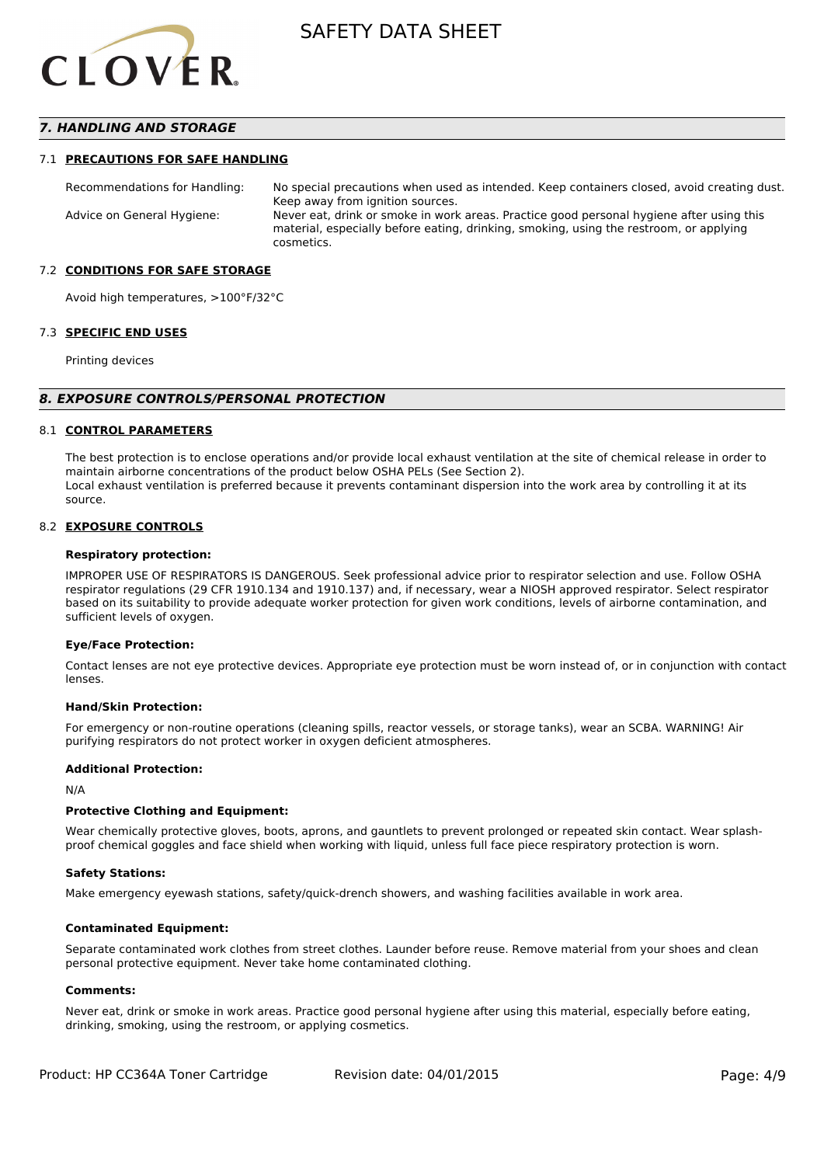

### *7. HANDLING AND STORAGE*

#### 7.1 **PRECAUTIONS FOR SAFE HANDLING**

Recommendations for Handling: No special precautions when used as intended. Keep containers closed, avoid creating dust. Keep away from ignition sources. Advice on General Hygiene: Never eat, drink or smoke in work areas. Practice good personal hygiene after using this material, especially before eating, drinking, smoking, using the restroom, or applying cosmetics.

#### 7.2 **CONDITIONS FOR SAFE STORAGE**

Avoid high temperatures, >100°F/32°C

#### 7.3 **SPECIFIC END USES**

Printing devices

#### *8. EXPOSURE CONTROLS/PERSONAL PROTECTION*

#### 8.1 **CONTROL PARAMETERS**

The best protection is to enclose operations and/or provide local exhaust ventilation at the site of chemical release in order to maintain airborne concentrations of the product below OSHA PELs (See Section 2). Local exhaust ventilation is preferred because it prevents contaminant dispersion into the work area by controlling it at its source.

#### 8.2 **EXPOSURE CONTROLS**

#### **Respiratory protection:**

IMPROPER USE OF RESPIRATORS IS DANGEROUS. Seek professional advice prior to respirator selection and use. Follow OSHA respirator regulations (29 CFR 1910.134 and 1910.137) and, if necessary, wear a NIOSH approved respirator. Select respirator based on its suitability to provide adequate worker protection for given work conditions, levels of airborne contamination, and sufficient levels of oxygen.

#### **Eye/Face Protection:**

Contact lenses are not eye protective devices. Appropriate eye protection must be worn instead of, or in conjunction with contact lenses.

#### **Hand/Skin Protection:**

For emergency or non-routine operations (cleaning spills, reactor vessels, or storage tanks), wear an SCBA. WARNING! Air purifying respirators do not protect worker in oxygen deficient atmospheres.

#### **Additional Protection:**

N/A

#### **Protective Clothing and Equipment:**

Wear chemically protective gloves, boots, aprons, and gauntlets to prevent prolonged or repeated skin contact. Wear splashproof chemical goggles and face shield when working with liquid, unless full face piece respiratory protection is worn.

#### **Safety Stations:**

Make emergency eyewash stations, safety/quick-drench showers, and washing facilities available in work area.

#### **Contaminated Equipment:**

Separate contaminated work clothes from street clothes. Launder before reuse. Remove material from your shoes and clean personal protective equipment. Never take home contaminated clothing.

#### **Comments:**

Never eat, drink or smoke in work areas. Practice good personal hygiene after using this material, especially before eating, drinking, smoking, using the restroom, or applying cosmetics.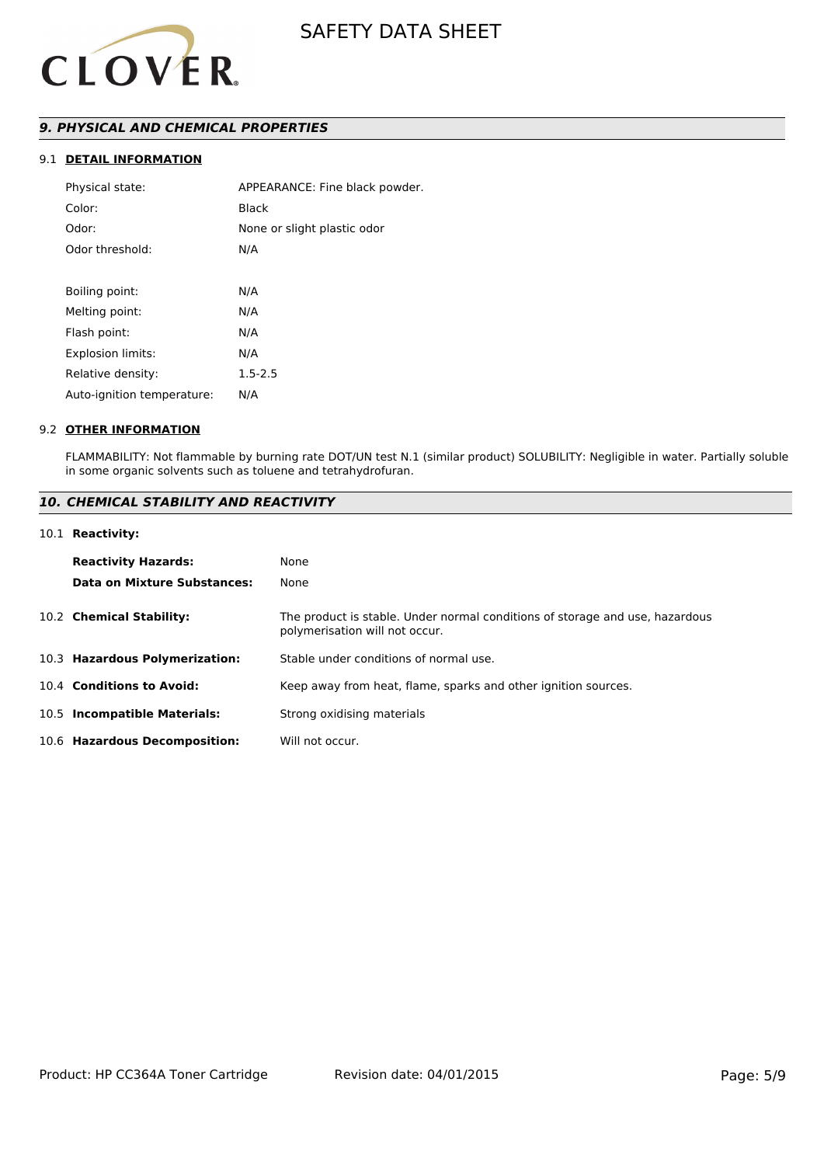

## *9. PHYSICAL AND CHEMICAL PROPERTIES*

## 9.1 **DETAIL INFORMATION**

| Physical state:            | APPEARANCE: Fine black powder. |
|----------------------------|--------------------------------|
| Color:                     | Black                          |
| Odor:                      | None or slight plastic odor    |
| Odor threshold:            | N/A                            |
|                            |                                |
| Boiling point:             | N/A                            |
| Melting point:             | N/A                            |
| Flash point:               | N/A                            |
| <b>Explosion limits:</b>   | N/A                            |
| Relative density:          | $1.5 - 2.5$                    |
| Auto-ignition temperature: | N/A                            |
|                            |                                |

#### 9.2 **OTHER INFORMATION**

FLAMMABILITY: Not flammable by burning rate DOT/UN test N.1 (similar product) SOLUBILITY: Negligible in water. Partially soluble in some organic solvents such as toluene and tetrahydrofuran.

## *10. CHEMICAL STABILITY AND REACTIVITY*

#### 10.1 **Reactivity:**

| <b>Reactivity Hazards:</b>     | None                                                                                                           |
|--------------------------------|----------------------------------------------------------------------------------------------------------------|
| Data on Mixture Substances:    | None                                                                                                           |
| 10.2 Chemical Stability:       | The product is stable. Under normal conditions of storage and use, hazardous<br>polymerisation will not occur. |
| 10.3 Hazardous Polymerization: | Stable under conditions of normal use.                                                                         |
| 10.4 Conditions to Avoid:      | Keep away from heat, flame, sparks and other ignition sources.                                                 |
| 10.5 Incompatible Materials:   | Strong oxidising materials                                                                                     |
| 10.6 Hazardous Decomposition:  | Will not occur.                                                                                                |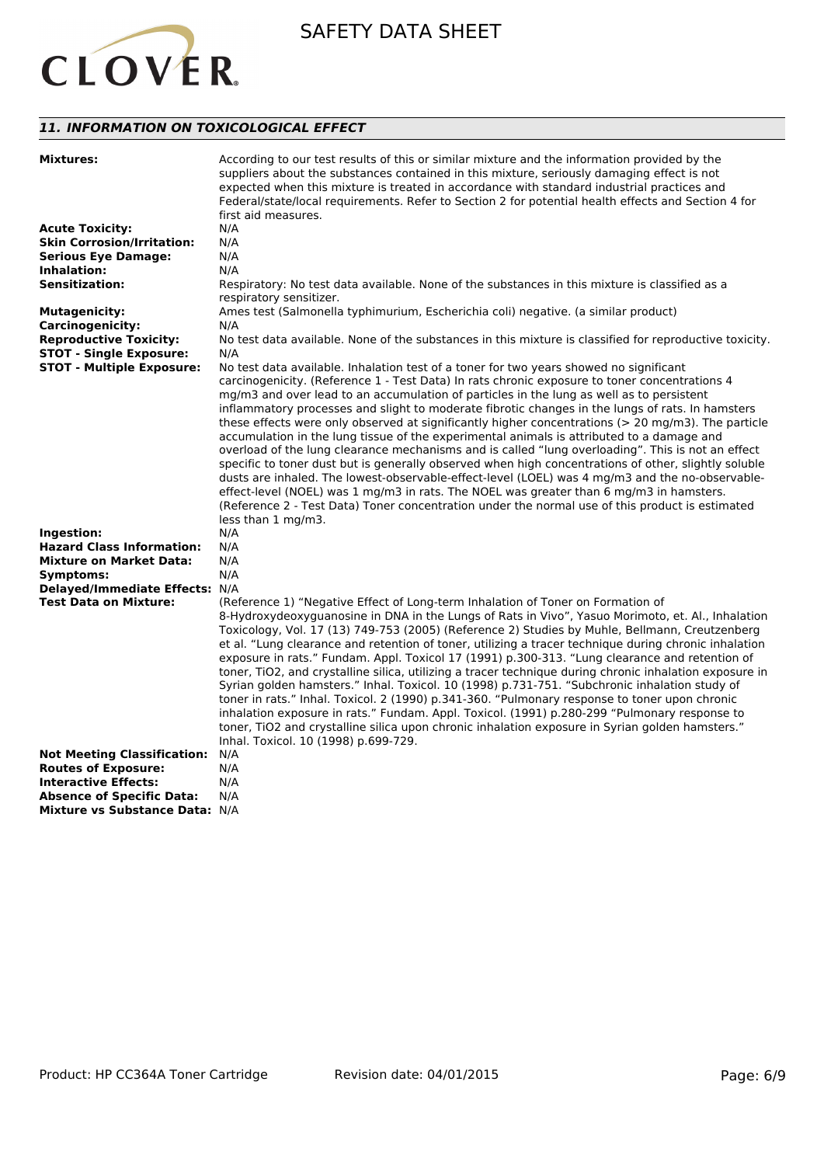

## *11. INFORMATION ON TOXICOLOGICAL EFFECT*

| <b>Mixtures:</b>                   | According to our test results of this or similar mixture and the information provided by the<br>suppliers about the substances contained in this mixture, seriously damaging effect is not<br>expected when this mixture is treated in accordance with standard industrial practices and<br>Federal/state/local requirements. Refer to Section 2 for potential health effects and Section 4 for<br>first aid measures.                                                                                                                                                                                                                                                                                                                                                                                                                                                                                                                                                                                                                                                                                                         |
|------------------------------------|--------------------------------------------------------------------------------------------------------------------------------------------------------------------------------------------------------------------------------------------------------------------------------------------------------------------------------------------------------------------------------------------------------------------------------------------------------------------------------------------------------------------------------------------------------------------------------------------------------------------------------------------------------------------------------------------------------------------------------------------------------------------------------------------------------------------------------------------------------------------------------------------------------------------------------------------------------------------------------------------------------------------------------------------------------------------------------------------------------------------------------|
| <b>Acute Toxicity:</b>             | N/A                                                                                                                                                                                                                                                                                                                                                                                                                                                                                                                                                                                                                                                                                                                                                                                                                                                                                                                                                                                                                                                                                                                            |
| <b>Skin Corrosion/Irritation:</b>  | N/A                                                                                                                                                                                                                                                                                                                                                                                                                                                                                                                                                                                                                                                                                                                                                                                                                                                                                                                                                                                                                                                                                                                            |
| <b>Serious Eye Damage:</b>         | N/A                                                                                                                                                                                                                                                                                                                                                                                                                                                                                                                                                                                                                                                                                                                                                                                                                                                                                                                                                                                                                                                                                                                            |
| Inhalation:                        | N/A                                                                                                                                                                                                                                                                                                                                                                                                                                                                                                                                                                                                                                                                                                                                                                                                                                                                                                                                                                                                                                                                                                                            |
| <b>Sensitization:</b>              | Respiratory: No test data available. None of the substances in this mixture is classified as a<br>respiratory sensitizer.                                                                                                                                                                                                                                                                                                                                                                                                                                                                                                                                                                                                                                                                                                                                                                                                                                                                                                                                                                                                      |
| <b>Mutagenicity:</b>               | Ames test (Salmonella typhimurium, Escherichia coli) negative. (a similar product)                                                                                                                                                                                                                                                                                                                                                                                                                                                                                                                                                                                                                                                                                                                                                                                                                                                                                                                                                                                                                                             |
| <b>Carcinogenicity:</b>            | N/A                                                                                                                                                                                                                                                                                                                                                                                                                                                                                                                                                                                                                                                                                                                                                                                                                                                                                                                                                                                                                                                                                                                            |
| <b>Reproductive Toxicity:</b>      | No test data available. None of the substances in this mixture is classified for reproductive toxicity.                                                                                                                                                                                                                                                                                                                                                                                                                                                                                                                                                                                                                                                                                                                                                                                                                                                                                                                                                                                                                        |
| <b>STOT - Single Exposure:</b>     | N/A                                                                                                                                                                                                                                                                                                                                                                                                                                                                                                                                                                                                                                                                                                                                                                                                                                                                                                                                                                                                                                                                                                                            |
| <b>STOT - Multiple Exposure:</b>   | No test data available. Inhalation test of a toner for two years showed no significant<br>carcinogenicity. (Reference 1 - Test Data) In rats chronic exposure to toner concentrations 4<br>mg/m3 and over lead to an accumulation of particles in the lung as well as to persistent<br>inflammatory processes and slight to moderate fibrotic changes in the lungs of rats. In hamsters<br>these effects were only observed at significantly higher concentrations (> 20 mg/m3). The particle<br>accumulation in the lung tissue of the experimental animals is attributed to a damage and<br>overload of the lung clearance mechanisms and is called "lung overloading". This is not an effect<br>specific to toner dust but is generally observed when high concentrations of other, slightly soluble<br>dusts are inhaled. The lowest-observable-effect-level (LOEL) was 4 mg/m3 and the no-observable-<br>effect-level (NOEL) was 1 mg/m3 in rats. The NOEL was greater than 6 mg/m3 in hamsters.<br>(Reference 2 - Test Data) Toner concentration under the normal use of this product is estimated<br>less than 1 mg/m3. |
| Ingestion:                         | N/A                                                                                                                                                                                                                                                                                                                                                                                                                                                                                                                                                                                                                                                                                                                                                                                                                                                                                                                                                                                                                                                                                                                            |
| <b>Hazard Class Information:</b>   | N/A                                                                                                                                                                                                                                                                                                                                                                                                                                                                                                                                                                                                                                                                                                                                                                                                                                                                                                                                                                                                                                                                                                                            |
| <b>Mixture on Market Data:</b>     | N/A                                                                                                                                                                                                                                                                                                                                                                                                                                                                                                                                                                                                                                                                                                                                                                                                                                                                                                                                                                                                                                                                                                                            |
| Symptoms:                          | N/A                                                                                                                                                                                                                                                                                                                                                                                                                                                                                                                                                                                                                                                                                                                                                                                                                                                                                                                                                                                                                                                                                                                            |
| Delayed/Immediate Effects: N/A     |                                                                                                                                                                                                                                                                                                                                                                                                                                                                                                                                                                                                                                                                                                                                                                                                                                                                                                                                                                                                                                                                                                                                |
| <b>Test Data on Mixture:</b>       | (Reference 1) "Negative Effect of Long-term Inhalation of Toner on Formation of<br>8-Hydroxydeoxyguanosine in DNA in the Lungs of Rats in Vivo", Yasuo Morimoto, et. Al., Inhalation<br>Toxicology, Vol. 17 (13) 749-753 (2005) (Reference 2) Studies by Muhle, Bellmann, Creutzenberg<br>et al. "Lung clearance and retention of toner, utilizing a tracer technique during chronic inhalation<br>exposure in rats." Fundam. Appl. Toxicol 17 (1991) p.300-313. "Lung clearance and retention of<br>toner, TiO2, and crystalline silica, utilizing a tracer technique during chronic inhalation exposure in<br>Syrian golden hamsters." Inhal. Toxicol. 10 (1998) p.731-751. "Subchronic inhalation study of<br>toner in rats." Inhal. Toxicol. 2 (1990) p.341-360. "Pulmonary response to toner upon chronic<br>inhalation exposure in rats." Fundam. Appl. Toxicol. (1991) p.280-299 "Pulmonary response to<br>toner, TiO2 and crystalline silica upon chronic inhalation exposure in Syrian golden hamsters."<br>Inhal. Toxicol. 10 (1998) p.699-729.                                                                      |
| <b>Not Meeting Classification:</b> | N/A                                                                                                                                                                                                                                                                                                                                                                                                                                                                                                                                                                                                                                                                                                                                                                                                                                                                                                                                                                                                                                                                                                                            |
| <b>Routes of Exposure:</b>         | N/A                                                                                                                                                                                                                                                                                                                                                                                                                                                                                                                                                                                                                                                                                                                                                                                                                                                                                                                                                                                                                                                                                                                            |
| <b>Interactive Effects:</b>        | N/A                                                                                                                                                                                                                                                                                                                                                                                                                                                                                                                                                                                                                                                                                                                                                                                                                                                                                                                                                                                                                                                                                                                            |
| <b>Absence of Specific Data:</b>   | N/A                                                                                                                                                                                                                                                                                                                                                                                                                                                                                                                                                                                                                                                                                                                                                                                                                                                                                                                                                                                                                                                                                                                            |
| Mixture vs Substance Data: N/A     |                                                                                                                                                                                                                                                                                                                                                                                                                                                                                                                                                                                                                                                                                                                                                                                                                                                                                                                                                                                                                                                                                                                                |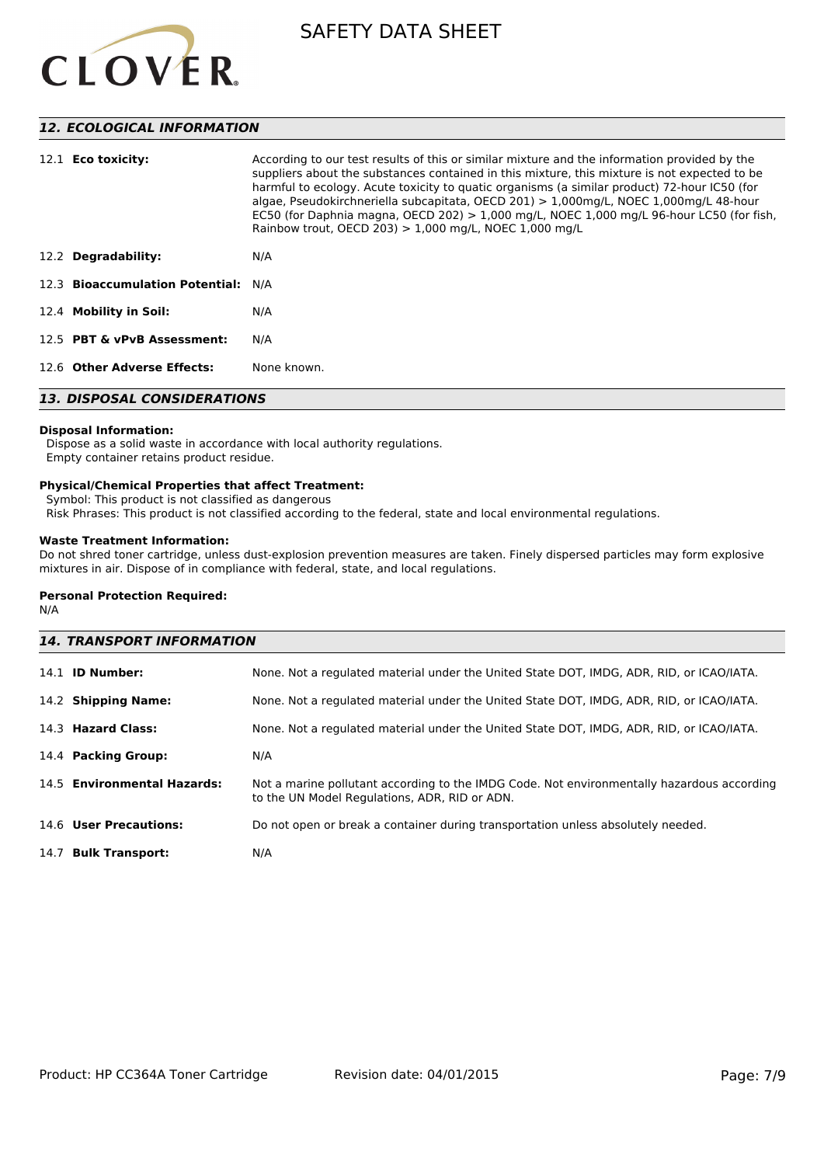

## *12. ECOLOGICAL INFORMATION*

| 12.1 <b>Eco toxicity:</b>           | According to our test results of this or similar mixture and the information provided by the<br>suppliers about the substances contained in this mixture, this mixture is not expected to be<br>harmful to ecology. Acute toxicity to quatic organisms (a similar product) 72-hour IC50 (for<br>algae, Pseudokirchneriella subcapitata, OECD 201) > 1,000mg/L, NOEC 1,000mg/L 48-hour<br>EC50 (for Daphnia magna, OECD 202) > 1,000 mg/L, NOEC 1,000 mg/L 96-hour LC50 (for fish,<br>Rainbow trout, OECD 203) $> 1,000$ mg/L, NOEC 1,000 mg/L |  |
|-------------------------------------|-----------------------------------------------------------------------------------------------------------------------------------------------------------------------------------------------------------------------------------------------------------------------------------------------------------------------------------------------------------------------------------------------------------------------------------------------------------------------------------------------------------------------------------------------|--|
| 12.2 Degradability:                 | N/A                                                                                                                                                                                                                                                                                                                                                                                                                                                                                                                                           |  |
| 12.3 Bioaccumulation Potential: N/A |                                                                                                                                                                                                                                                                                                                                                                                                                                                                                                                                               |  |
| 12.4 Mobility in Soil:              | N/A                                                                                                                                                                                                                                                                                                                                                                                                                                                                                                                                           |  |
| 12.5 PBT & vPvB Assessment:         | N/A                                                                                                                                                                                                                                                                                                                                                                                                                                                                                                                                           |  |
| 12.6 Other Adverse Effects:         | None known.                                                                                                                                                                                                                                                                                                                                                                                                                                                                                                                                   |  |
| <b>13. DISPOSAL CONSIDERATIONS</b>  |                                                                                                                                                                                                                                                                                                                                                                                                                                                                                                                                               |  |

## **Disposal Information:**

 Dispose as a solid waste in accordance with local authority regulations. Empty container retains product residue.

#### **Physical/Chemical Properties that affect Treatment:**

Symbol: This product is not classified as dangerous

Risk Phrases: This product is not classified according to the federal, state and local environmental regulations.

### **Waste Treatment Information:**

Do not shred toner cartridge, unless dust-explosion prevention measures are taken. Finely dispersed particles may form explosive mixtures in air. Dispose of in compliance with federal, state, and local regulations.

#### **Personal Protection Required:**

N/A

| <b>14. TRANSPORT INFORMATION</b> |                                                                                                                                             |  |
|----------------------------------|---------------------------------------------------------------------------------------------------------------------------------------------|--|
| 14.1 <b>ID Number:</b>           | None. Not a regulated material under the United State DOT, IMDG, ADR, RID, or ICAO/IATA.                                                    |  |
| 14.2 Shipping Name:              | None. Not a regulated material under the United State DOT, IMDG, ADR, RID, or ICAO/IATA.                                                    |  |
| 14.3 Hazard Class:               | None. Not a regulated material under the United State DOT, IMDG, ADR, RID, or ICAO/IATA.                                                    |  |
| 14.4 Packing Group:              | N/A                                                                                                                                         |  |
| 14.5 Environmental Hazards:      | Not a marine pollutant according to the IMDG Code. Not environmentally hazardous according<br>to the UN Model Regulations, ADR, RID or ADN. |  |
| 14.6 User Precautions:           | Do not open or break a container during transportation unless absolutely needed.                                                            |  |
| 14.7 Bulk Transport:             | N/A                                                                                                                                         |  |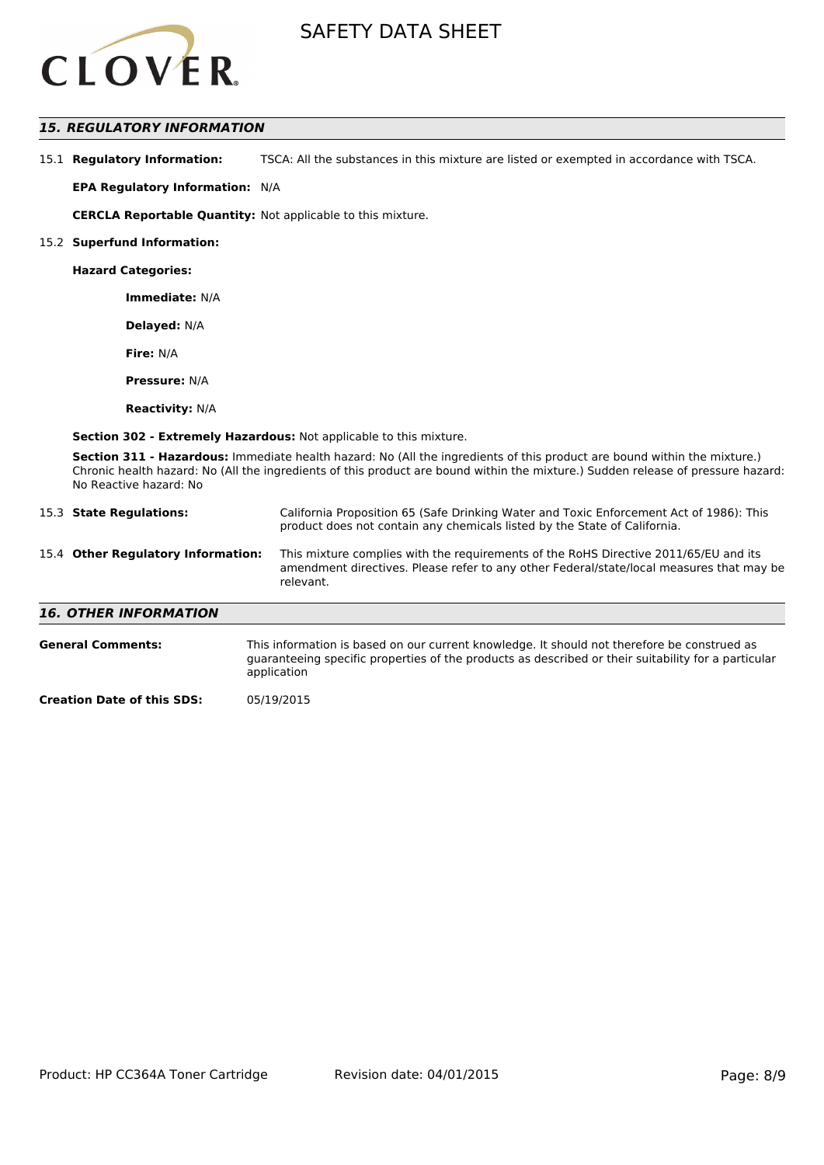

## *15. REGULATORY INFORMATION*

| 15.1 Regulatory Information: | TSCA: All the substances in this mixture are listed or exempted in accordance with TSCA. |
|------------------------------|------------------------------------------------------------------------------------------|
|------------------------------|------------------------------------------------------------------------------------------|

**EPA Regulatory Information:** N/A

**CERCLA Reportable Quantity:** Not applicable to this mixture.

#### 15.2 **Superfund Information:**

**Hazard Categories:**

**Immediate:** N/A

**Delayed:** N/A

**Fire:** N/A

**Pressure:** N/A

**Reactivity:** N/A

**Section 302 - Extremely Hazardous:** Not applicable to this mixture.

**Section 311 - Hazardous:** Immediate health hazard: No (All the ingredients of this product are bound within the mixture.) Chronic health hazard: No (All the ingredients of this product are bound within the mixture.) Sudden release of pressure hazard: No Reactive hazard: No

| 15.3 State Regulations:            | California Proposition 65 (Safe Drinking Water and Toxic Enforcement Act of 1986): This<br>product does not contain any chemicals listed by the State of California.                                                                                                                                                          |
|------------------------------------|-------------------------------------------------------------------------------------------------------------------------------------------------------------------------------------------------------------------------------------------------------------------------------------------------------------------------------|
| 15.4 Other Regulatory Information: | This mixture complies with the requirements of the RoHS Directive 2011/65/EU and its<br>amendment directives. Please refer to any other Federal/state/local measures that may be<br>relevant.                                                                                                                                 |
| <b>16. OTHER INFORMATION</b>       |                                                                                                                                                                                                                                                                                                                               |
| <b>General Comments:</b>           | This information is based on our current knowledge. It should not therefore be construed as<br>المستحقق والمستقل والمستقل والمستقل والمستقل والمستقل والمستقل والمستقل والمستقل والمستقل والمستقل والمستقل والمستقل والمستقل والمستقل والمستقل والمستقل والمستقل والمستقل والمستقل والمستقل والمستقل والمستقل والمستقل والمست |

guaranteeing specific properties of the products as described or their suitability for a particular application

**Creation Date of this SDS:** 05/19/2015